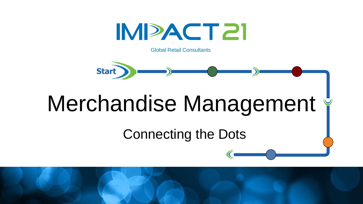

Global Retail Consultants



### **Merchandise Management Connecting the Dots**  Merchandise Management

# Connecting the Dots

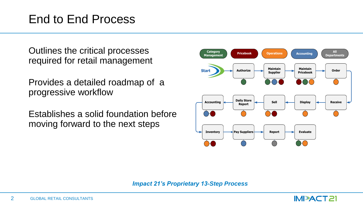## End to End Process

Outlines the critical processes required for retail management

Provides a detailed roadmap of a progressive workflow

Establishes a solid foundation before moving forward to the next steps



*Impact 21's Proprietary 13-Step Process*

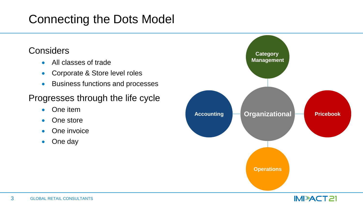## Connecting the Dots Model

### **Considers**

- All classes of trade
- Corporate & Store level roles
- Business functions and processes

### Progresses through the life cycle

- One item
- One store
- One invoice
- One day

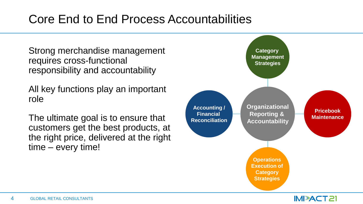## Core End to End Process Accountabilities

Strong merchandise management requires cross-functional responsibility and accountability

All key functions play an important role

The ultimate goal is to ensure that customers get the best products, at the right price, delivered at the right time – every time!

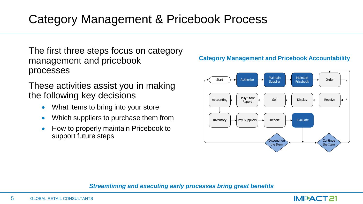## Category Management & Pricebook Process

The first three steps focus on category management and pricebook processes

These activities assist you in making the following key decisions

- What items to bring into your store
- Which suppliers to purchase them from
- How to properly maintain Pricebook to support future steps

#### **Category Management and Pricebook Accountability**



*Streamlining and executing early processes bring great benefits*

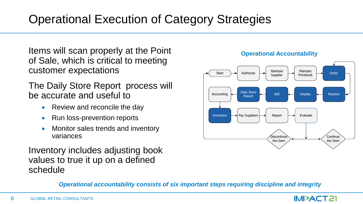## Operational Execution of Category Strategies

Items will scan properly at the Point of Sale, which is critical to meeting customer expectations

The Daily Store Report process will be accurate and useful to

- Review and reconcile the day
- Run loss-prevention reports
- Monitor sales trends and inventory variances

Inventory includes adjusting book values to true it up on a defined schedule

#### **Operational Accountability**



*Operational accountability consists of six important steps requiring discipline and integrity*

### **IMPACT21**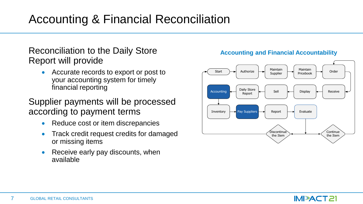## Accounting & Financial Reconciliation

### Reconciliation to the Daily Store Report will provide

• Accurate records to export or post to your accounting system for timely financial reporting

### Supplier payments will be processed according to payment terms

- Reduce cost or item discrepancies
- Track credit request credits for damaged or missing items
- Receive early pay discounts, when available



#### **Accounting and Financial Accountability**

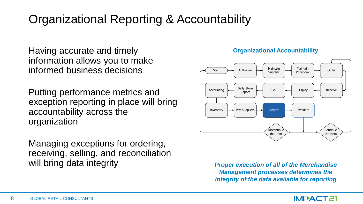Having accurate and timely information allows you to make informed business decisions

Putting performance metrics and exception reporting in place will bring accountability across the organization

Managing exceptions for ordering, receiving, selling, and reconciliation will bring data integrity

#### **Organizational Accountability**



*Proper execution of all of the Merchandise Management processes determines the integrity of the data available for reporting*